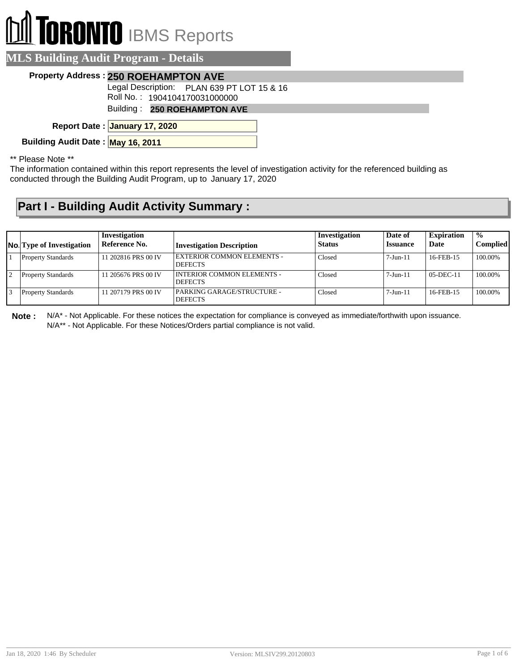## **TORONTO** IBMS Reports

| <b>MLS Building Audit Program - Details</b> |                                            |
|---------------------------------------------|--------------------------------------------|
|                                             | Property Address: 250 ROEHAMPTON AVE       |
|                                             | Legal Description: PLAN 639 PT LOT 15 & 16 |
|                                             | Roll No.: 1904104170031000000              |
|                                             | Building: 250 ROEHAMPTON AVE               |
|                                             | Report Date: January 17, 2020              |
| Building Audit Date: May 16, 2011           |                                            |

\*\* Please Note \*\*

The information contained within this report represents the level of investigation activity for the referenced building as conducted through the Building Audit Program, up to January 17, 2020

## **Part I - Building Audit Activity Summary :**

| <b>No.</b> Type of Investigation | Investigation<br>Reference No. | <b>Investigation Description</b>               | Investigation<br><b>Status</b> | Date of<br><b>Issuance</b> | <b>Expiration</b><br>Date | $\frac{0}{0}$<br><b>Complied</b> |
|----------------------------------|--------------------------------|------------------------------------------------|--------------------------------|----------------------------|---------------------------|----------------------------------|
| <b>Property Standards</b>        | 11 202816 PRS 00 IV            | EXTERIOR COMMON ELEMENTS -<br><b>DEFECTS</b>   | Closed                         | $7-J$ un- $11$             | 16-FEB-15                 | 100.00%                          |
| <b>Property Standards</b>        | 11 205676 PRS 00 IV            | I INTERIOR COMMON ELEMENTS -<br><b>DEFECTS</b> | Closed                         | $7$ -Jun- $11$             | $0.5 - DEC - 11$          | 100.00%                          |
| <b>Property Standards</b>        | 11 207179 PRS 00 IV            | PARKING GARAGE/STRUCTURE -<br><b>DEFECTS</b>   | Closed                         | $7-Jun-11$                 | 16-FEB-15                 | 100.00%                          |

**Note :** N/A\* - Not Applicable. For these notices the expectation for compliance is conveyed as immediate/forthwith upon issuance. N/A\*\* - Not Applicable. For these Notices/Orders partial compliance is not valid.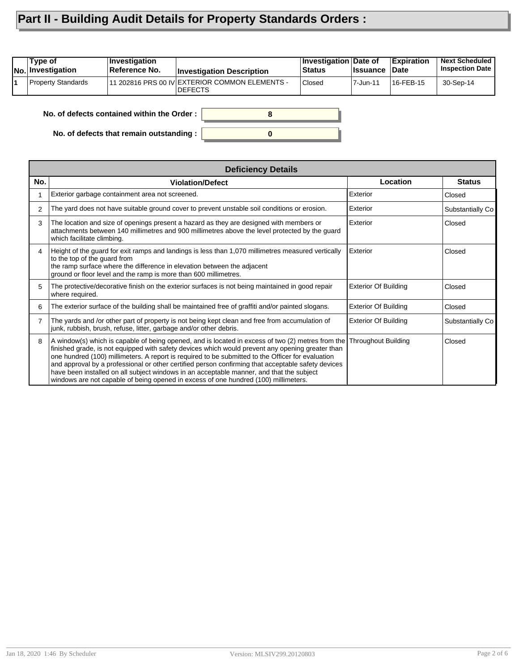## **Part II - Building Audit Details for Property Standards Orders :**

| Type of<br>No. Investigation | ∣Investiqation<br>Reference No. | <b>Investigation Description</b>                                 | Investigation Date of<br><b>Status</b> | <b>∣Issuance</b> | <b>Expiration</b><br>∣Date | <b>Next Scheduled</b><br><b>Inspection Date</b> |
|------------------------------|---------------------------------|------------------------------------------------------------------|----------------------------------------|------------------|----------------------------|-------------------------------------------------|
| <b>Property Standards</b>    |                                 | 11 202816 PRS 00 IV EXTERIOR COMMON ELEMENTS -<br><b>DEFECTS</b> | <b>Closed</b>                          | 7-Jun-11         | 16-FEB-15                  | 30-Sep-14                                       |
|                              |                                 |                                                                  |                                        |                  |                            |                                                 |

**0**

**8**

**No. of defects contained within the Order :**

**No. of defects that remain outstanding :**

|                | <b>Deficiency Details</b>                                                                                                                                                                                                                                                                                                                                                                                                                                                                                                                                                                           |                             |                  |  |  |  |  |
|----------------|-----------------------------------------------------------------------------------------------------------------------------------------------------------------------------------------------------------------------------------------------------------------------------------------------------------------------------------------------------------------------------------------------------------------------------------------------------------------------------------------------------------------------------------------------------------------------------------------------------|-----------------------------|------------------|--|--|--|--|
| No.            | <b>Violation/Defect</b>                                                                                                                                                                                                                                                                                                                                                                                                                                                                                                                                                                             | Location                    | <b>Status</b>    |  |  |  |  |
|                | Exterior garbage containment area not screened.                                                                                                                                                                                                                                                                                                                                                                                                                                                                                                                                                     | Exterior                    | Closed           |  |  |  |  |
| $\mathcal{P}$  | The yard does not have suitable ground cover to prevent unstable soil conditions or erosion.                                                                                                                                                                                                                                                                                                                                                                                                                                                                                                        | Exterior                    | Substantially Co |  |  |  |  |
| 3              | The location and size of openings present a hazard as they are designed with members or<br>attachments between 140 millimetres and 900 millimetres above the level protected by the guard<br>which facilitate climbing.                                                                                                                                                                                                                                                                                                                                                                             | Exterior                    | Closed           |  |  |  |  |
| 4              | Height of the guard for exit ramps and landings is less than 1,070 millimetres measured vertically<br>to the top of the guard from<br>the ramp surface where the difference in elevation between the adjacent<br>ground or floor level and the ramp is more than 600 millimetres.                                                                                                                                                                                                                                                                                                                   | Exterior                    | Closed           |  |  |  |  |
| 5              | The protective/decorative finish on the exterior surfaces is not being maintained in good repair<br>where required.                                                                                                                                                                                                                                                                                                                                                                                                                                                                                 | <b>Exterior Of Building</b> | Closed           |  |  |  |  |
| 6              | The exterior surface of the building shall be maintained free of graffiti and/or painted slogans.                                                                                                                                                                                                                                                                                                                                                                                                                                                                                                   | <b>Exterior Of Building</b> | Closed           |  |  |  |  |
| $\overline{7}$ | The yards and /or other part of property is not being kept clean and free from accumulation of<br>junk, rubbish, brush, refuse, litter, garbage and/or other debris.                                                                                                                                                                                                                                                                                                                                                                                                                                | <b>Exterior Of Building</b> | Substantially Co |  |  |  |  |
| 8              | A window(s) which is capable of being opened, and is located in excess of two (2) metres from the<br>finished grade, is not equipped with safety devices which would prevent any opening greater than<br>one hundred (100) millimeters. A report is required to be submitted to the Officer for evaluation<br>and approval by a professional or other certified person confirming that acceptable safety devices<br>have been installed on all subject windows in an acceptable manner, and that the subject<br>windows are not capable of being opened in excess of one hundred (100) millimeters. | <b>Throughout Building</b>  | Closed           |  |  |  |  |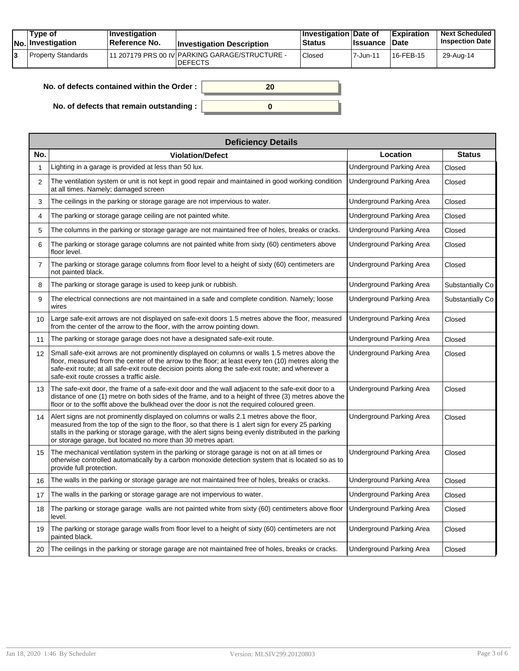|  | Tvpe of<br><b>No.</b> Investigation | <b>Investigation</b><br>Reference No. | <b>Investigation Description</b>                                  | <b>Investigation Date of</b><br><b>Status</b> | <b>Issuance Date</b> | Expiration             | <b>Next Scheduled</b><br><b>Inspection Date</b> |
|--|-------------------------------------|---------------------------------------|-------------------------------------------------------------------|-----------------------------------------------|----------------------|------------------------|-------------------------------------------------|
|  | Property Standards                  |                                       | 111 207179 PRS 00 IV PARKING GARAGE/STRUCTURE -<br><b>DEFECTS</b> | Closed                                        | 7-Jun-11             | <sup>1</sup> 16-FEB-15 | 29-Aug-14                                       |

| No. of defects contained within the Order :      |  |
|--------------------------------------------------|--|
| No. of defects that remain outstanding : $\vert$ |  |

|                | <b>Deficiency Details</b>                                                                                                                                                                                                                                                                                                                                                |                                 |                  |  |  |  |  |  |
|----------------|--------------------------------------------------------------------------------------------------------------------------------------------------------------------------------------------------------------------------------------------------------------------------------------------------------------------------------------------------------------------------|---------------------------------|------------------|--|--|--|--|--|
| No.            | <b>Violation/Defect</b>                                                                                                                                                                                                                                                                                                                                                  | Location                        | <b>Status</b>    |  |  |  |  |  |
| 1              | Lighting in a garage is provided at less than 50 lux.                                                                                                                                                                                                                                                                                                                    | <b>Underground Parking Area</b> | Closed           |  |  |  |  |  |
| $\overline{2}$ | The ventilation system or unit is not kept in good repair and maintained in good working condition<br>at all times. Namely; damaged screen                                                                                                                                                                                                                               | Underground Parking Area        | Closed           |  |  |  |  |  |
| 3              | The ceilings in the parking or storage garage are not impervious to water.                                                                                                                                                                                                                                                                                               | Underground Parking Area        | Closed           |  |  |  |  |  |
| 4              | The parking or storage garage ceiling are not painted white.                                                                                                                                                                                                                                                                                                             | Underground Parking Area        | Closed           |  |  |  |  |  |
| 5              | The columns in the parking or storage garage are not maintained free of holes, breaks or cracks.                                                                                                                                                                                                                                                                         | Underground Parking Area        | Closed           |  |  |  |  |  |
| 6              | The parking or storage garage columns are not painted white from sixty (60) centimeters above<br>floor level.                                                                                                                                                                                                                                                            | Underground Parking Area        | Closed           |  |  |  |  |  |
| $\overline{7}$ | The parking or storage garage columns from floor level to a height of sixty (60) centimeters are<br>not painted black.                                                                                                                                                                                                                                                   | Underground Parking Area        | Closed           |  |  |  |  |  |
| 8              | The parking or storage garage is used to keep junk or rubbish.                                                                                                                                                                                                                                                                                                           | Underground Parking Area        | Substantially Co |  |  |  |  |  |
| 9              | The electrical connections are not maintained in a safe and complete condition. Namely: loose<br>wires                                                                                                                                                                                                                                                                   | Underground Parking Area        | Substantially Co |  |  |  |  |  |
| 10             | Large safe-exit arrows are not displayed on safe-exit doors 1.5 metres above the floor, measured<br>from the center of the arrow to the floor, with the arrow pointing down.                                                                                                                                                                                             | Underground Parking Area        | Closed           |  |  |  |  |  |
| 11             | The parking or storage garage does not have a designated safe-exit route.                                                                                                                                                                                                                                                                                                | Underground Parking Area        | Closed           |  |  |  |  |  |
| 12             | Small safe-exit arrows are not prominently displayed on columns or walls 1.5 metres above the<br>floor, measured from the center of the arrow to the floor; at least every ten (10) metres along the<br>safe-exit route; at all safe-exit route decision points along the safe-exit route; and wherever a<br>safe-exit route crosses a traffic aisle.                    | Underground Parking Area        | Closed           |  |  |  |  |  |
| 13             | The safe-exit door, the frame of a safe-exit door and the wall adjacent to the safe-exit door to a<br>distance of one (1) metre on both sides of the frame, and to a height of three (3) metres above the<br>floor or to the soffit above the bulkhead over the door is not the required coloured green.                                                                 | Underground Parking Area        | Closed           |  |  |  |  |  |
| 14             | Alert signs are not prominently displayed on columns or walls 2.1 metres above the floor,<br>measured from the top of the sign to the floor, so that there is 1 alert sign for every 25 parking<br>stalls in the parking or storage garage, with the alert signs being evenly distributed in the parking<br>or storage garage, but located no more than 30 metres apart. | Underground Parking Area        | Closed           |  |  |  |  |  |
| 15             | The mechanical ventilation system in the parking or storage garage is not on at all times or<br>otherwise controlled automatically by a carbon monoxide detection system that is located so as to<br>provide full protection.                                                                                                                                            | Underground Parking Area        | Closed           |  |  |  |  |  |
| 16             | The walls in the parking or storage garage are not maintained free of holes, breaks or cracks.                                                                                                                                                                                                                                                                           | Underground Parking Area        | Closed           |  |  |  |  |  |
| 17             | The walls in the parking or storage garage are not impervious to water.                                                                                                                                                                                                                                                                                                  | Underground Parking Area        | Closed           |  |  |  |  |  |
| 18             | The parking or storage garage walls are not painted white from sixty (60) centimeters above floor<br>level.                                                                                                                                                                                                                                                              | Underground Parking Area        | Closed           |  |  |  |  |  |
| 19             | The parking or storage garage walls from floor level to a height of sixty (60) centimeters are not<br>painted black.                                                                                                                                                                                                                                                     | Underground Parking Area        | Closed           |  |  |  |  |  |
| 20             | The ceilings in the parking or storage garage are not maintained free of holes, breaks or cracks.                                                                                                                                                                                                                                                                        | Underground Parking Area        | Closed           |  |  |  |  |  |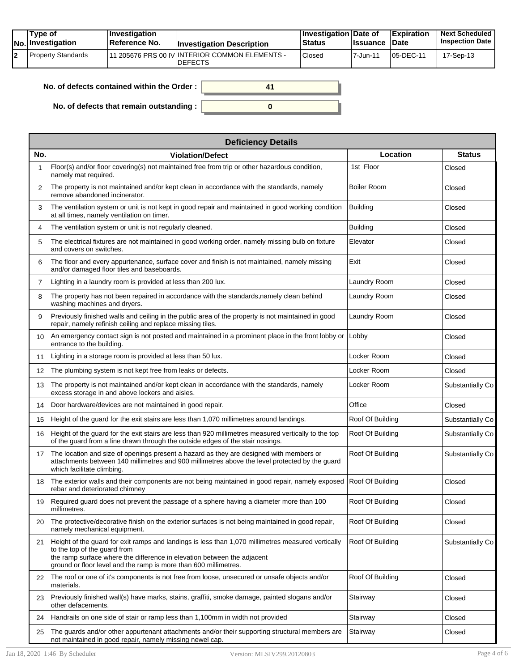| Tvpe of<br><b>Investigation</b><br>Reference No.<br><b>No.</b> Investigation | <b>Investigation Description</b>                                              | <b>Investigation Date of</b><br><b>Status</b> | <b>Issuance Date</b> | Expiration | <b>Next Scheduled</b><br><b>Inspection Date</b> |
|------------------------------------------------------------------------------|-------------------------------------------------------------------------------|-----------------------------------------------|----------------------|------------|-------------------------------------------------|
| Property Standards                                                           | <sup>1</sup> 11 205676 PRS 00 IV INTERIOR COMMON ELEMENTS -<br><b>DEFECTS</b> | Closed                                        | 7-Jun-11             | 105-DEC-11 | 17-Sep-13                                       |

| No. of defects contained within the Order: |  |
|--------------------------------------------|--|
| No. of defects that remain outstanding :   |  |

|                   | <b>Deficiency Details</b>                                                                                                                                                                                                                                                         |                    |                  |
|-------------------|-----------------------------------------------------------------------------------------------------------------------------------------------------------------------------------------------------------------------------------------------------------------------------------|--------------------|------------------|
| No.               | <b>Violation/Defect</b>                                                                                                                                                                                                                                                           | Location           | <b>Status</b>    |
|                   | Floor(s) and/or floor covering(s) not maintained free from trip or other hazardous condition,<br>namely mat required.                                                                                                                                                             | 1st Floor          | Closed           |
| 2                 | The property is not maintained and/or kept clean in accordance with the standards, namely<br>remove abandoned incinerator.                                                                                                                                                        | <b>Boiler Room</b> | Closed           |
| 3                 | The ventilation system or unit is not kept in good repair and maintained in good working condition<br>at all times, namely ventilation on timer.                                                                                                                                  | <b>Building</b>    | Closed           |
| 4                 | The ventilation system or unit is not regularly cleaned.                                                                                                                                                                                                                          | <b>Building</b>    | Closed           |
| 5                 | The electrical fixtures are not maintained in good working order, namely missing bulb on fixture<br>and covers on switches.                                                                                                                                                       | Elevator           | Closed           |
| 6                 | The floor and every appurtenance, surface cover and finish is not maintained, namely missing<br>and/or damaged floor tiles and baseboards.                                                                                                                                        | Exit               | Closed           |
| $\overline{7}$    | Lighting in a laundry room is provided at less than 200 lux.                                                                                                                                                                                                                      | Laundry Room       | Closed           |
| 8                 | The property has not been repaired in accordance with the standards, namely clean behind<br>washing machines and dryers.                                                                                                                                                          | Laundry Room       | Closed           |
| 9                 | Previously finished walls and ceiling in the public area of the property is not maintained in good<br>repair, namely refinish ceiling and replace missing tiles.                                                                                                                  | Laundry Room       | Closed           |
| 10                | An emergency contact sign is not posted and maintained in a prominent place in the front lobby or<br>entrance to the building.                                                                                                                                                    | Lobby              | Closed           |
| 11                | Lighting in a storage room is provided at less than 50 lux.                                                                                                                                                                                                                       | Locker Room        | Closed           |
| $12 \overline{ }$ | The plumbing system is not kept free from leaks or defects.                                                                                                                                                                                                                       | Locker Room        | Closed           |
| 13                | The property is not maintained and/or kept clean in accordance with the standards, namely<br>excess storage in and above lockers and aisles.                                                                                                                                      | Locker Room        | Substantially Co |
| 14                | Door hardware/devices are not maintained in good repair.                                                                                                                                                                                                                          | Office             | Closed           |
| 15                | Height of the guard for the exit stairs are less than 1,070 millimetres around landings.                                                                                                                                                                                          | Roof Of Building   | Substantially Co |
| 16                | Height of the guard for the exit stairs are less than 920 millimetres measured vertically to the top<br>of the guard from a line drawn through the outside edges of the stair nosings.                                                                                            | Roof Of Building   | Substantially Co |
| 17                | The location and size of openings present a hazard as they are designed with members or<br>attachments between 140 millimetres and 900 millimetres above the level protected by the guard<br>which facilitate climbing.                                                           | Roof Of Building   | Substantially Co |
| 18                | The exterior walls and their components are not being maintained in good repair, namely exposed<br>rebar and deteriorated chimney                                                                                                                                                 | Roof Of Building   | Closed           |
| 19                | Required guard does not prevent the passage of a sphere having a diameter more than 100<br>millimetres.                                                                                                                                                                           | Roof Of Building   | Closed           |
| 20                | The protective/decorative finish on the exterior surfaces is not being maintained in good repair,<br>namely mechanical equipment.                                                                                                                                                 | Roof Of Building   | Closed           |
| 21                | Height of the quard for exit ramps and landings is less than 1,070 millimetres measured vertically<br>to the top of the quard from<br>the ramp surface where the difference in elevation between the adjacent<br>ground or floor level and the ramp is more than 600 millimetres. | Roof Of Building   | Substantially Co |
| 22                | The roof or one of it's components is not free from loose, unsecured or unsafe objects and/or<br>materials.                                                                                                                                                                       | Roof Of Building   | Closed           |
| 23                | Previously finished wall(s) have marks, stains, graffiti, smoke damage, painted slogans and/or<br>other defacements.                                                                                                                                                              | Stairway           | Closed           |
| 24                | Handrails on one side of stair or ramp less than 1,100mm in width not provided                                                                                                                                                                                                    | Stairway           | Closed           |
| 25                | The guards and/or other appurtenant attachments and/or their supporting structural members are<br>not maintained in good repair, namely missing newel cap.                                                                                                                        | Stairway           | Closed           |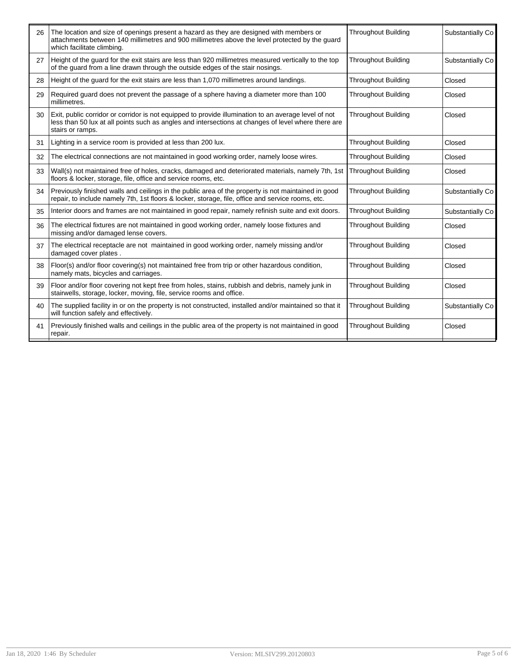| 26 | The location and size of openings present a hazard as they are designed with members or<br>attachments between 140 millimetres and 900 millimetres above the level protected by the guard<br>which facilitate climbing.         | <b>Throughout Building</b> | Substantially Co |
|----|---------------------------------------------------------------------------------------------------------------------------------------------------------------------------------------------------------------------------------|----------------------------|------------------|
| 27 | Height of the quard for the exit stairs are less than 920 millimetres measured vertically to the top<br>of the quard from a line drawn through the outside edges of the stair nosings.                                          | <b>Throughout Building</b> | Substantially Co |
| 28 | Height of the guard for the exit stairs are less than 1,070 millimetres around landings.                                                                                                                                        | <b>Throughout Building</b> | Closed           |
| 29 | Required guard does not prevent the passage of a sphere having a diameter more than 100<br>millimetres.                                                                                                                         | <b>Throughout Building</b> | Closed           |
| 30 | Exit, public corridor or corridor is not equipped to provide illumination to an average level of not<br>less than 50 lux at all points such as angles and intersections at changes of level where there are<br>stairs or ramps. | <b>Throughout Building</b> | Closed           |
| 31 | Lighting in a service room is provided at less than 200 lux.                                                                                                                                                                    | <b>Throughout Building</b> | Closed           |
| 32 | The electrical connections are not maintained in good working order, namely loose wires.                                                                                                                                        | <b>Throughout Building</b> | Closed           |
| 33 | Wall(s) not maintained free of holes, cracks, damaged and deteriorated materials, namely 7th, 1st<br>floors & locker, storage, file, office and service rooms, etc.                                                             | <b>Throughout Building</b> | Closed           |
| 34 | Previously finished walls and ceilings in the public area of the property is not maintained in good<br>repair, to include namely 7th, 1st floors & locker, storage, file, office and service rooms, etc.                        | <b>Throughout Building</b> | Substantially Co |
| 35 | Interior doors and frames are not maintained in good repair, namely refinish suite and exit doors.                                                                                                                              | <b>Throughout Building</b> | Substantially Co |
| 36 | The electrical fixtures are not maintained in good working order, namely loose fixtures and<br>missing and/or damaged lense covers.                                                                                             | <b>Throughout Building</b> | Closed           |
| 37 | The electrical receptacle are not maintained in good working order, namely missing and/or<br>damaged cover plates.                                                                                                              | <b>Throughout Building</b> | Closed           |
| 38 | Floor(s) and/or floor covering(s) not maintained free from trip or other hazardous condition,<br>namely mats, bicycles and carriages.                                                                                           | <b>Throughout Building</b> | Closed           |
| 39 | Floor and/or floor covering not kept free from holes, stains, rubbish and debris, namely junk in<br>stairwells, storage, locker, moving, file, service rooms and office.                                                        | <b>Throughout Building</b> | Closed           |
| 40 | The supplied facility in or on the property is not constructed, installed and/or maintained so that it<br>will function safely and effectively.                                                                                 | <b>Throughout Building</b> | Substantially Co |
| 41 | Previously finished walls and ceilings in the public area of the property is not maintained in good<br>repair.                                                                                                                  | <b>Throughout Building</b> | Closed           |